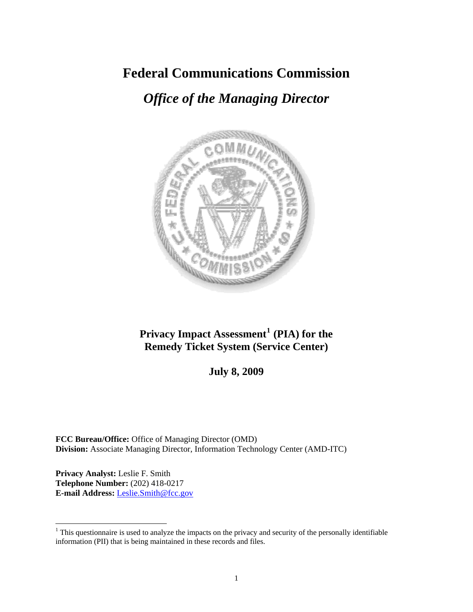# **Federal Communications Commission**

# *Office of the Managing Director*



# **Privacy Impact Assessment[1](#page-0-0) (PIA) for the Remedy Ticket System (Service Center)**

**July 8, 2009** 

**FCC Bureau/Office:** Office of Managing Director (OMD) **Division:** Associate Managing Director, Information Technology Center (AMD-ITC)

**Privacy Analyst:** Leslie F. Smith **Telephone Number:** (202) 418-0217 **E-mail Address:** Leslie.Smith@fcc.gov

 $\overline{a}$ 

<span id="page-0-0"></span> $1$ <sup>1</sup> This questionnaire is used to analyze the impacts on the privacy and security of the personally identifiable information (PII) that is being maintained in these records and files.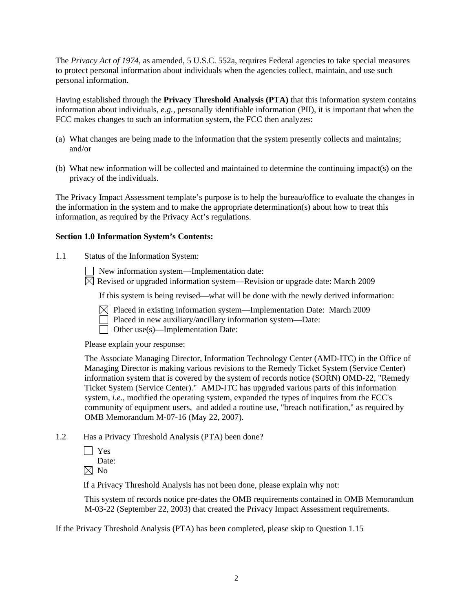The *Privacy Act of 1974*, as amended, 5 U.S.C. 552a, requires Federal agencies to take special measures to protect personal information about individuals when the agencies collect, maintain, and use such personal information.

Having established through the **Privacy Threshold Analysis (PTA)** that this information system contains information about individuals, *e.g.*, personally identifiable information (PII), it is important that when the FCC makes changes to such an information system, the FCC then analyzes:

- (a) What changes are being made to the information that the system presently collects and maintains; and/or
- (b) What new information will be collected and maintained to determine the continuing impact(s) on the privacy of the individuals.

The Privacy Impact Assessment template's purpose is to help the bureau/office to evaluate the changes in the information in the system and to make the appropriate determination(s) about how to treat this information, as required by the Privacy Act's regulations.

#### **Section 1.0 Information System's Contents:**

1.1 Status of the Information System:

New information system—Implementation date:

 $\overline{\boxtimes}$  Revised or upgraded information system—Revision or upgrade date: March 2009

If this system is being revised—what will be done with the newly derived information:

- $\boxtimes$  Placed in existing information system—Implementation Date: March 2009
- Placed in new auxiliary/ancillary information system—Date:
- Other use(s)—Implementation Date:

Please explain your response:

The Associate Managing Director, Information Technology Center (AMD-ITC) in the Office of Managing Director is making various revisions to the Remedy Ticket System (Service Center) information system that is covered by the system of records notice (SORN) OMD-22, "Remedy Ticket System (Service Center)." AMD-ITC has upgraded various parts of this information system, *i.e.*, modified the operating system, expanded the types of inquires from the FCC's community of equipment users, and added a routine use, "breach notification," as required by OMB Memorandum M-07-16 (May 22, 2007).

1.2 Has a Privacy Threshold Analysis (PTA) been done?

 Yes Date:

 $\boxtimes$  No

If a Privacy Threshold Analysis has not been done, please explain why not:

 This system of records notice pre-dates the OMB requirements contained in OMB Memorandum M-03-22 (September 22, 2003) that created the Privacy Impact Assessment requirements.

If the Privacy Threshold Analysis (PTA) has been completed, please skip to Question 1.15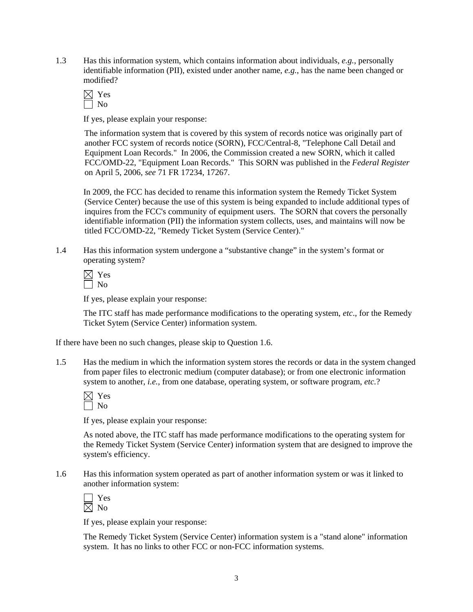1.3 Has this information system, which contains information about individuals, *e.g.*, personally identifiable information (PII), existed under another name, *e.g.*, has the name been changed or modified?

| - |
|---|
|   |

If yes, please explain your response:

 The information system that is covered by this system of records notice was originally part of another FCC system of records notice (SORN), FCC/Central-8, "Telephone Call Detail and Equipment Loan Records." In 2006, the Commission created a new SORN, which it called FCC/OMD-22, "Equipment Loan Records." This SORN was published in the *Federal Register* on April 5, 2006, *see* 71 FR 17234, 17267.

In 2009, the FCC has decided to rename this information system the Remedy Ticket System (Service Center) because the use of this system is being expanded to include additional types of inquires from the FCC's community of equipment users. The SORN that covers the personally identifiable information (PII) the information system collects, uses, and maintains will now be titled FCC/OMD-22, "Remedy Ticket System (Service Center)."

1.4 Has this information system undergone a "substantive change" in the system's format or operating system?

 $\boxtimes$  Yes  $\sqcap$  No

If yes, please explain your response:

The ITC staff has made performance modifications to the operating system, *etc*., for the Remedy Ticket Sytem (Service Center) information system.

If there have been no such changes, please skip to Question 1.6.

1.5 Has the medium in which the information system stores the records or data in the system changed from paper files to electronic medium (computer database); or from one electronic information system to another, *i.e.*, from one database, operating system, or software program, *etc.*?

If yes, please explain your response:

As noted above, the ITC staff has made performance modifications to the operating system for the Remedy Ticket System (Service Center) information system that are designed to improve the system's efficiency.

1.6 Has this information system operated as part of another information system or was it linked to another information system:

| − |
|---|
| ١ |

If yes, please explain your response:

The Remedy Ticket System (Service Center) information system is a "stand alone" information system. It has no links to other FCC or non-FCC information systems.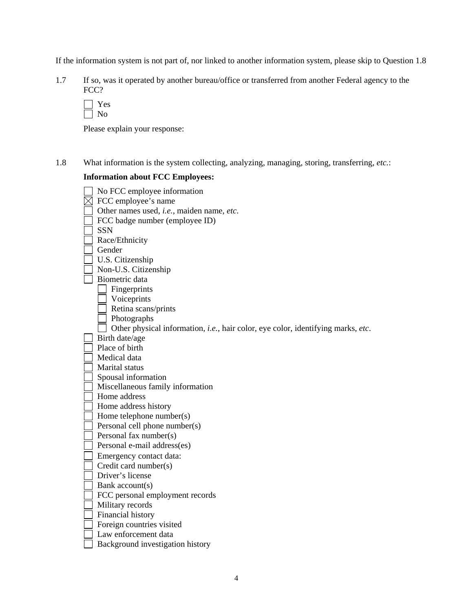If the information system is not part of, nor linked to another information system, please skip to Question 1.8

1.7 If so, was it operated by another bureau/office or transferred from another Federal agency to the FCC?

Please explain your response:

1.8 What information is the system collecting, analyzing, managing, storing, transferring, *etc.*:

# **Information about FCC Employees:**

| No FCC employee information                                                      |
|----------------------------------------------------------------------------------|
| FCC employee's name                                                              |
| Other names used, i.e., maiden name, etc.                                        |
| FCC badge number (employee ID)                                                   |
| <b>SSN</b>                                                                       |
| Race/Ethnicity                                                                   |
| Gender                                                                           |
| U.S. Citizenship                                                                 |
| Non-U.S. Citizenship                                                             |
| Biometric data                                                                   |
| Fingerprints                                                                     |
| Voiceprints                                                                      |
| Retina scans/prints                                                              |
| Photographs                                                                      |
| Other physical information, i.e., hair color, eye color, identifying marks, etc. |
| Birth date/age                                                                   |
| Place of birth                                                                   |
| Medical data                                                                     |
| Marital status                                                                   |
| Spousal information                                                              |
| Miscellaneous family information                                                 |
| Home address                                                                     |
| Home address history                                                             |
| Home telephone number(s)                                                         |
| Personal cell phone number(s)                                                    |
| Personal fax number(s)                                                           |
| Personal e-mail address(es)                                                      |
| Emergency contact data:                                                          |
| Credit card number(s)                                                            |
| Driver's license                                                                 |
| Bank account(s)                                                                  |
| FCC personal employment records                                                  |
| Military records                                                                 |
| Financial history                                                                |
| Foreign countries visited                                                        |
| Law enforcement data                                                             |
| Background investigation history                                                 |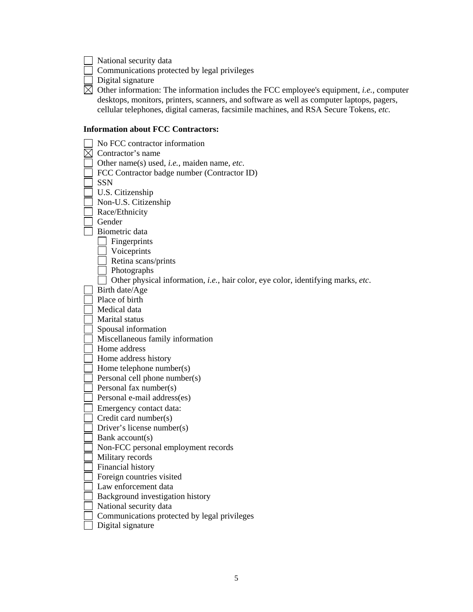National security data

 $\overline{\phantom{a}}$  Communications protected by legal privileges

 $\Box$  Digital signature

 $\boxtimes$  Other information: The information includes the FCC employee's equipment, *i.e.*, computer desktops, monitors, printers, scanners, and software as well as computer laptops, pagers, cellular telephones, digital cameras, facsimile machines, and RSA Secure Tokens, *etc.*

# **Information about FCC Contractors:**

| No FCC contractor information                                                    |
|----------------------------------------------------------------------------------|
| Contractor's name                                                                |
| Other name(s) used, <i>i.e.</i> , maiden name, etc.                              |
| FCC Contractor badge number (Contractor ID)                                      |
| <b>SSN</b>                                                                       |
| U.S. Citizenship                                                                 |
| Non-U.S. Citizenship                                                             |
| Race/Ethnicity                                                                   |
| Gender                                                                           |
| Biometric data                                                                   |
| Fingerprints                                                                     |
| Voiceprints                                                                      |
| Retina scans/prints                                                              |
| Photographs                                                                      |
| Other physical information, i.e., hair color, eye color, identifying marks, etc. |
| Birth date/Age                                                                   |
| Place of birth                                                                   |
| Medical data                                                                     |
| Marital status                                                                   |
| Spousal information                                                              |
| Miscellaneous family information                                                 |
| Home address                                                                     |
| Home address history                                                             |
| Home telephone number(s)                                                         |
| Personal cell phone number(s)                                                    |
| Personal fax number(s)                                                           |
| Personal e-mail address(es)                                                      |
| Emergency contact data:                                                          |
| Credit card number(s)                                                            |
| Driver's license number(s)                                                       |
| Bank account(s)                                                                  |
| Non-FCC personal employment records                                              |
| Military records                                                                 |
| Financial history                                                                |
| Foreign countries visited                                                        |
| Law enforcement data                                                             |
| Background investigation history                                                 |
| National security data                                                           |
| Communications protected by legal privileges                                     |
| Digital signature                                                                |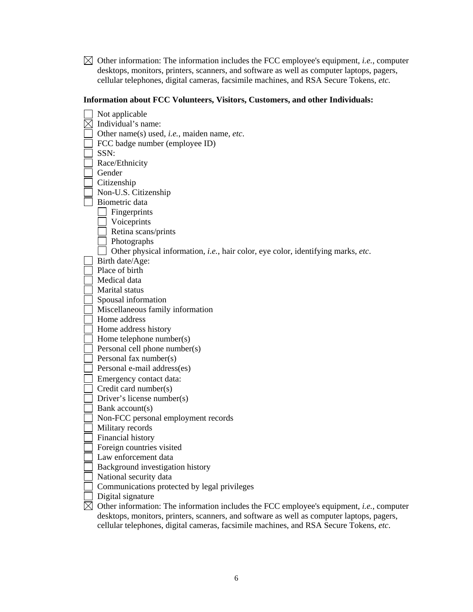$\boxtimes$  Other information: The information includes the FCC employee's equipment, *i.e.*, computer desktops, monitors, printers, scanners, and software as well as computer laptops, pagers, cellular telephones, digital cameras, facsimile machines, and RSA Secure Tokens, *etc.* 

# **Information about FCC Volunteers, Visitors, Customers, and other Individuals:**

| Not applicable                                                                                               |
|--------------------------------------------------------------------------------------------------------------|
| Individual's name:                                                                                           |
| Other name(s) used, <i>i.e.</i> , maiden name, <i>etc</i> .                                                  |
| FCC badge number (employee ID)                                                                               |
| SSN:                                                                                                         |
| Race/Ethnicity                                                                                               |
| Gender                                                                                                       |
| Citizenship                                                                                                  |
| Non-U.S. Citizenship                                                                                         |
| Biometric data                                                                                               |
| Fingerprints                                                                                                 |
| Voiceprints                                                                                                  |
| Retina scans/prints                                                                                          |
| Photographs                                                                                                  |
| Other physical information, i.e., hair color, eye color, identifying marks, etc.                             |
| Birth date/Age:                                                                                              |
| Place of birth                                                                                               |
| Medical data                                                                                                 |
| Marital status                                                                                               |
| Spousal information                                                                                          |
| Miscellaneous family information                                                                             |
| Home address                                                                                                 |
| Home address history                                                                                         |
| Home telephone number(s)                                                                                     |
| Personal cell phone number(s)                                                                                |
| Personal fax number(s)                                                                                       |
| Personal e-mail address(es)                                                                                  |
| Emergency contact data:                                                                                      |
| Credit card number(s)                                                                                        |
| Driver's license number(s)                                                                                   |
| Bank account(s)                                                                                              |
| Non-FCC personal employment records                                                                          |
| Military records                                                                                             |
| Financial history                                                                                            |
| Foreign countries visited                                                                                    |
| Law enforcement data                                                                                         |
| Background investigation history                                                                             |
| National security data                                                                                       |
| Communications protected by legal privileges                                                                 |
| Digital signature                                                                                            |
| $\boxtimes$ Other information: The information includes the FCC employee's equipment, <i>i.e.</i> , computer |
| desktops, monitors, printers, scanners, and software as well as computer laptops, pagers,                    |
| cellular telephones, digital cameras, facsimile machines, and RSA Secure Tokens, etc.                        |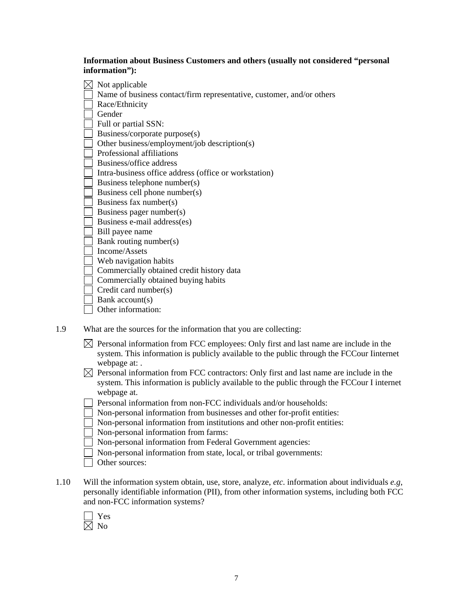**Information about Business Customers and others (usually not considered "personal information"):** 

|     | Not applicable                                                           |
|-----|--------------------------------------------------------------------------|
|     | Name of business contact/firm representative, customer, and/or others    |
|     | Race/Ethnicity                                                           |
|     | Gender                                                                   |
|     | Full or partial SSN:                                                     |
|     | Business/corporate purpose(s)                                            |
|     | Other business/employment/job description(s)                             |
|     | Professional affiliations                                                |
|     | Business/office address                                                  |
|     | Intra-business office address (office or workstation)                    |
|     | Business telephone number(s)                                             |
|     | Business cell phone number(s)                                            |
|     | Business fax number(s)                                                   |
|     | Business pager number(s)                                                 |
|     | Business e-mail address(es)                                              |
|     | Bill payee name                                                          |
|     | Bank routing number(s)                                                   |
|     | Income/Assets                                                            |
|     | Web navigation habits                                                    |
|     | Commercially obtained credit history data                                |
|     | Commercially obtained buying habits                                      |
|     | Credit card number(s)                                                    |
|     | Bank account(s)                                                          |
|     | Other information:                                                       |
| 1.9 | What are the sources for the information that you are collecting:        |
|     | Personal information from FCC employees: Only first and last name are in |
|     |                                                                          |

nclude in the system. This information is publicly available to the public through the FCCour Iinternet webpage at: .

 $\boxtimes$  Personal information from FCC contractors: Only first and last name are include in the system. This information is publicly available to the public through the FCCour I internet webpage at.

- Personal information from non-FCC individuals and/or households:
- Non-personal information from businesses and other for-profit entities:
- Non-personal information from institutions and other non-profit entities:
- Non-personal information from farms:
- Non-personal information from Federal Government agencies:
- Non-personal information from state, local, or tribal governments:
- Other sources:
- 1.10 Will the information system obtain, use, store, analyze, *etc*. information about individuals *e.g*, personally identifiable information (PII), from other information systems, including both FCC and non-FCC information systems?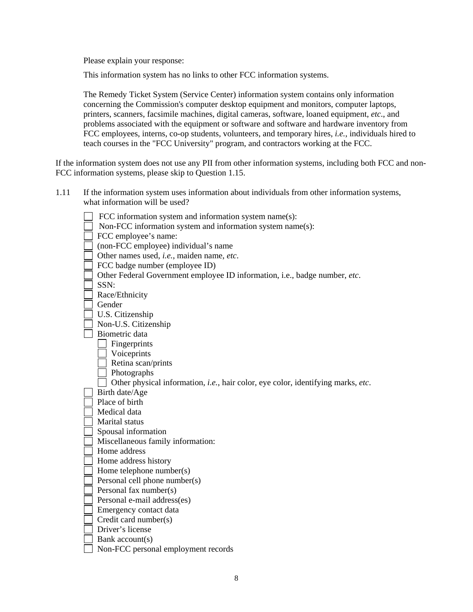This information system has no links to other FCC information systems.

The Remedy Ticket System (Service Center) information system contains only information concerning the Commission's computer desktop equipment and monitors, computer laptops, printers, scanners, facsimile machines, digital cameras, software, loaned equipment, *etc*., and problems associated with the equipment or software and software and hardware inventory from FCC employees, interns, co-op students, volunteers, and temporary hires, *i.e.*, individuals hired to teach courses in the "FCC University" program, and contractors working at the FCC.

If the information system does not use any PII from other information systems, including both FCC and non-FCC information systems, please skip to Question 1.15.

| 1.11 | If the information system uses information about individuals from other information systems, |
|------|----------------------------------------------------------------------------------------------|
|      | what information will be used?                                                               |

| FCC information system and information system name(s):                           |
|----------------------------------------------------------------------------------|
| Non-FCC information system and information system name(s):                       |
| FCC employee's name:                                                             |
| (non-FCC employee) individual's name                                             |
| Other names used, i.e., maiden name, etc.                                        |
| FCC badge number (employee ID)                                                   |
| Other Federal Government employee ID information, i.e., badge number, etc.       |
| SSN:                                                                             |
| Race/Ethnicity                                                                   |
| Gender                                                                           |
| U.S. Citizenship                                                                 |
| Non-U.S. Citizenship                                                             |
| Biometric data                                                                   |
| Fingerprints                                                                     |
| Voiceprints                                                                      |
| Retina scan/prints                                                               |
| Photographs                                                                      |
| Other physical information, i.e., hair color, eye color, identifying marks, etc. |
| Birth date/Age                                                                   |
| Place of birth                                                                   |
| Medical data                                                                     |
| Marital status                                                                   |
| Spousal information                                                              |
| Miscellaneous family information:                                                |
| Home address                                                                     |
| Home address history                                                             |
| Home telephone number(s)                                                         |
| Personal cell phone number(s)                                                    |
| Personal fax number(s)                                                           |
| Personal e-mail address(es)                                                      |
| Emergency contact data                                                           |
| Credit card number(s)                                                            |
| Driver's license                                                                 |
| Bank account(s)                                                                  |
| Non-FCC personal employment records                                              |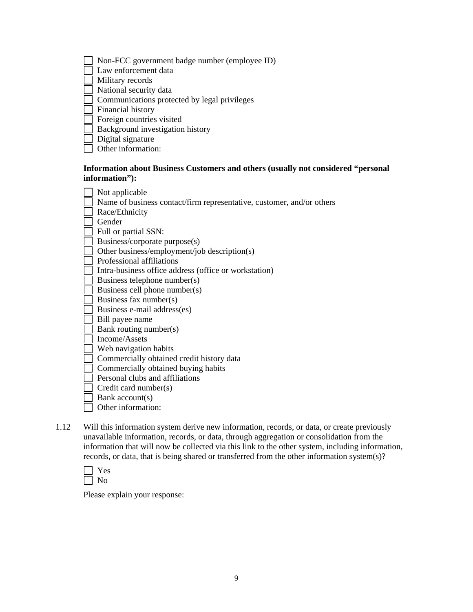| Non-FCC government badge number (employee ID) |
|-----------------------------------------------|
| Law enforcement data                          |
| Military records                              |
| National security data                        |
| Communications protected by legal privileges  |
| Financial history                             |
| Foreign countries visited                     |
| Background investigation history              |
| Digital signature                             |

#### Other information:

#### **Information about Business Customers and others (usually not considered "personal information"):**

| Not applicable                                                        |
|-----------------------------------------------------------------------|
| Name of business contact/firm representative, customer, and/or others |
| Race/Ethnicity                                                        |
| Gender                                                                |
| Full or partial SSN:                                                  |
| Business/corporate purpose(s)                                         |
| Other business/employment/job description(s)                          |
| Professional affiliations                                             |
| Intra-business office address (office or workstation)                 |
| Business telephone number(s)                                          |
| Business cell phone number(s)                                         |
| Business fax number(s)                                                |
| Business e-mail address(es)                                           |
| Bill payee name                                                       |
| Bank routing number(s)                                                |
| Income/Assets                                                         |
| Web navigation habits                                                 |
| Commercially obtained credit history data                             |
| Commercially obtained buying habits                                   |
| Personal clubs and affiliations                                       |
| Credit card number(s)                                                 |
| Bank account(s)                                                       |
| Other information:                                                    |
|                                                                       |

1.12 Will this information system derive new information, records, or data, or create previously unavailable information, records, or data, through aggregation or consolidation from the information that will now be collected via this link to the other system, including information, records, or data, that is being shared or transferred from the other information system(s)?

Please explain your response: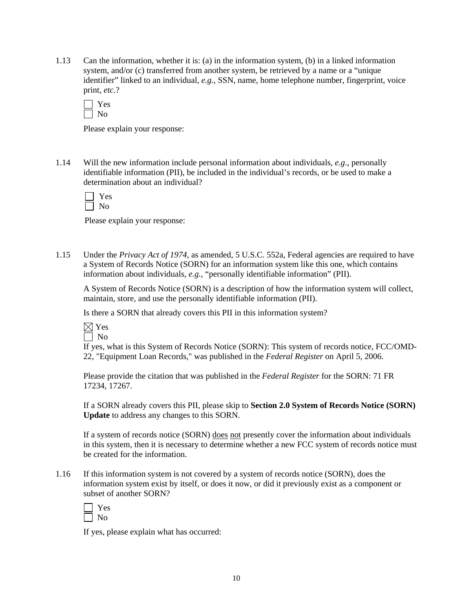1.13 Can the information, whether it is: (a) in the information system, (b) in a linked information system, and/or (c) transferred from another system, be retrieved by a name or a "unique identifier" linked to an individual, *e.g.*, SSN, name, home telephone number, fingerprint, voice print, *etc*.?

| - |
|---|
|   |

Please explain your response:

1.14 Will the new information include personal information about individuals, *e.g*., personally identifiable information (PII), be included in the individual's records, or be used to make a determination about an individual?

| ×.<br>⊢ |
|---------|
|         |

Please explain your response:

1.15 Under the *Privacy Act of 1974*, as amended, 5 U.S.C. 552a, Federal agencies are required to have a System of Records Notice (SORN) for an information system like this one, which contains information about individuals, *e.g.*, "personally identifiable information" (PII).

A System of Records Notice (SORN) is a description of how the information system will collect, maintain, store, and use the personally identifiable information (PII).

Is there a SORN that already covers this PII in this information system?



If yes, what is this System of Records Notice (SORN): This system of records notice, FCC/OMD-22, "Equipment Loan Records," was published in the *Federal Register* on April 5, 2006.

Please provide the citation that was published in the *Federal Register* for the SORN: 71 FR 17234, 17267.

If a SORN already covers this PII, please skip to **Section 2.0 System of Records Notice (SORN) Update** to address any changes to this SORN.

If a system of records notice (SORN) does not presently cover the information about individuals in this system, then it is necessary to determine whether a new FCC system of records notice must be created for the information.

1.16 If this information system is not covered by a system of records notice (SORN), does the information system exist by itself, or does it now, or did it previously exist as a component or subset of another SORN?

If yes, please explain what has occurred: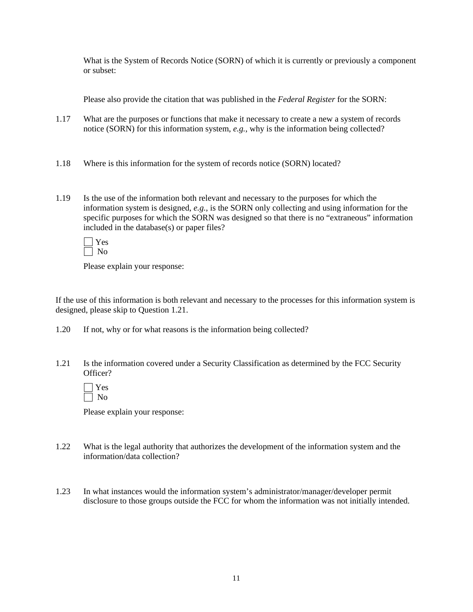What is the System of Records Notice (SORN) of which it is currently or previously a component or subset:

Please also provide the citation that was published in the *Federal Register* for the SORN:

- 1.17 What are the purposes or functions that make it necessary to create a new a system of records notice (SORN) for this information system, *e.g.*, why is the information being collected?
- 1.18 Where is this information for the system of records notice (SORN) located?
- 1.19 Is the use of the information both relevant and necessary to the purposes for which the information system is designed, *e.g.*, is the SORN only collecting and using information for the specific purposes for which the SORN was designed so that there is no "extraneous" information included in the database(s) or paper files?

Please explain your response:

If the use of this information is both relevant and necessary to the processes for this information system is designed, please skip to Question 1.21.

- 1.20 If not, why or for what reasons is the information being collected?
- 1.21 Is the information covered under a Security Classification as determined by the FCC Security Officer?

Please explain your response:

- 1.22 What is the legal authority that authorizes the development of the information system and the information/data collection?
- 1.23 In what instances would the information system's administrator/manager/developer permit disclosure to those groups outside the FCC for whom the information was not initially intended.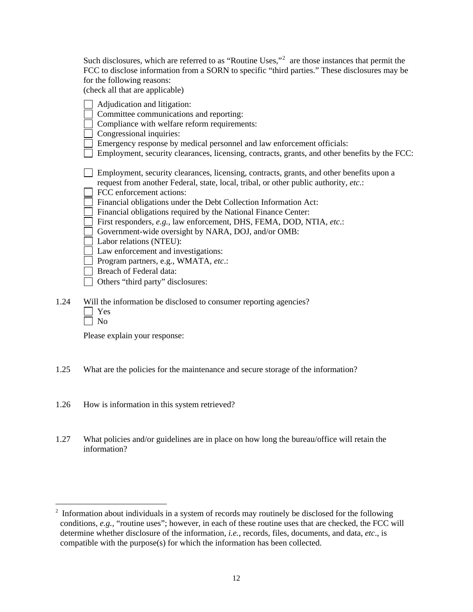| Such disclosures, which are referred to as "Routine Uses," <sup>2</sup> are those instances that permit the |
|-------------------------------------------------------------------------------------------------------------|
| FCC to disclose information from a SORN to specific "third parties." These disclosures may be               |
| for the following reasons:                                                                                  |
| (check all that are applicable)                                                                             |
| Adjudication and litigation:                                                                                |
| Committee communications and reporting:                                                                     |
| Compliance with welfare reform requirements:                                                                |
| Congressional inquiries:                                                                                    |

Emergency response by medical personnel and law enforcement officials:

Employment, security clearances, licensing, contracts, grants, and other benefits by the FCC:

 Employment, security clearances, licensing, contracts, grants, and other benefits upon a request from another Federal, state, local, tribal, or other public authority, *etc*.:

FCC enforcement actions:

Financial obligations under the Debt Collection Information Act:

Financial obligations required by the National Finance Center:

- First responders, *e.g.*, law enforcement, DHS, FEMA, DOD, NTIA, *etc*.:
- Government-wide oversight by NARA, DOJ, and/or OMB:
- Labor relations (NTEU):

Law enforcement and investigations:

- Program partners, e.g., WMATA, *etc*.:
- Breach of Federal data:
- Others "third party" disclosures:
- 1.24 Will the information be disclosed to consumer reporting agencies?
	- Yes

 $\Box$  No

 $\overline{a}$ 

Please explain your response:

- 1.25 What are the policies for the maintenance and secure storage of the information?
- 1.26 How is information in this system retrieved?
- 1.27 What policies and/or guidelines are in place on how long the bureau/office will retain the information?

<span id="page-11-0"></span> $2$  Information about individuals in a system of records may routinely be disclosed for the following conditions, *e.g.,* "routine uses"; however, in each of these routine uses that are checked, the FCC will determine whether disclosure of the information, *i.e.*, records, files, documents, and data, *etc*., is compatible with the purpose(s) for which the information has been collected.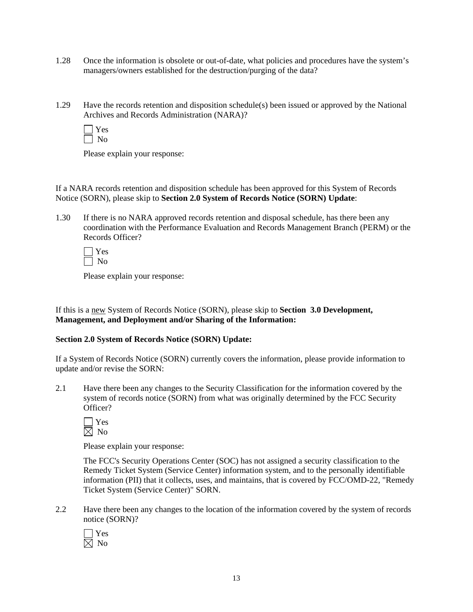- 1.28 Once the information is obsolete or out-of-date, what policies and procedures have the system's managers/owners established for the destruction/purging of the data?
- 1.29 Have the records retention and disposition schedule(s) been issued or approved by the National Archives and Records Administration (NARA)?

If a NARA records retention and disposition schedule has been approved for this System of Records Notice (SORN), please skip to **Section 2.0 System of Records Notice (SORN) Update**:

1.30 If there is no NARA approved records retention and disposal schedule, has there been any coordination with the Performance Evaluation and Records Management Branch (PERM) or the Records Officer?

Please explain your response:

If this is a new System of Records Notice (SORN), please skip to **Section 3.0 Development, Management, and Deployment and/or Sharing of the Information:** 

#### **Section 2.0 System of Records Notice (SORN) Update:**

If a System of Records Notice (SORN) currently covers the information, please provide information to update and/or revise the SORN:

2.1 Have there been any changes to the Security Classification for the information covered by the system of records notice (SORN) from what was originally determined by the FCC Security Officer?

| c |
|---|
|   |

Please explain your response:

 The FCC's Security Operations Center (SOC) has not assigned a security classification to the Remedy Ticket System (Service Center) information system, and to the personally identifiable information (PII) that it collects, uses, and maintains, that is covered by FCC/OMD-22, "Remedy Ticket System (Service Center)" SORN.

2.2 Have there been any changes to the location of the information covered by the system of records notice (SORN)?

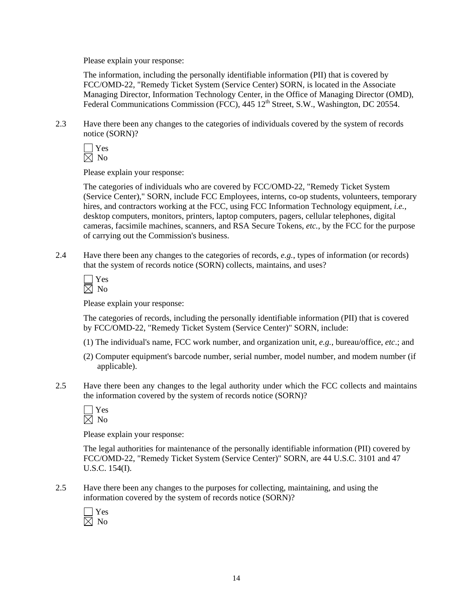The information, including the personally identifiable information (PII) that is covered by FCC/OMD-22, "Remedy Ticket System (Service Center) SORN, is located in the Associate Managing Director, Information Technology Center, in the Office of Managing Director (OMD), Federal Communications Commission (FCC), 445 12<sup>th</sup> Street, S.W., Washington, DC 20554.

2.3 Have there been any changes to the categories of individuals covered by the system of records notice (SORN)?

 Yes  $\boxtimes$  No

Please explain your response:

 The categories of individuals who are covered by FCC/OMD-22, "Remedy Ticket System (Service Center)," SORN, include FCC Employees, interns, co-op students, volunteers, temporary hires, and contractors working at the FCC, using FCC Information Technology equipment, *i.e.*, desktop computers, monitors, printers, laptop computers, pagers, cellular telephones, digital cameras, facsimile machines, scanners, and RSA Secure Tokens, *etc.*, by the FCC for the purpose of carrying out the Commission's business.

2.4 Have there been any changes to the categories of records, *e.g.*, types of information (or records) that the system of records notice (SORN) collects, maintains, and uses?

 $\Box$  Yes  $\boxtimes$  No

Please explain your response:

The categories of records, including the personally identifiable information (PII) that is covered by FCC/OMD-22, "Remedy Ticket System (Service Center)" SORN, include:

- (1) The individual's name, FCC work number, and organization unit, *e.g.*, bureau/office, *etc*.; and
- (2) Computer equipment's barcode number, serial number, model number, and modem number (if applicable).
- 2.5 Have there been any changes to the legal authority under which the FCC collects and maintains the information covered by the system of records notice (SORN)?

Please explain your response:

 The legal authorities for maintenance of the personally identifiable information (PII) covered by FCC/OMD-22, "Remedy Ticket System (Service Center)" SORN, are 44 U.S.C. 3101 and 47 U.S.C. 154(I).

2.5 Have there been any changes to the purposes for collecting, maintaining, and using the information covered by the system of records notice (SORN)?

 Yes  $\boxtimes$  No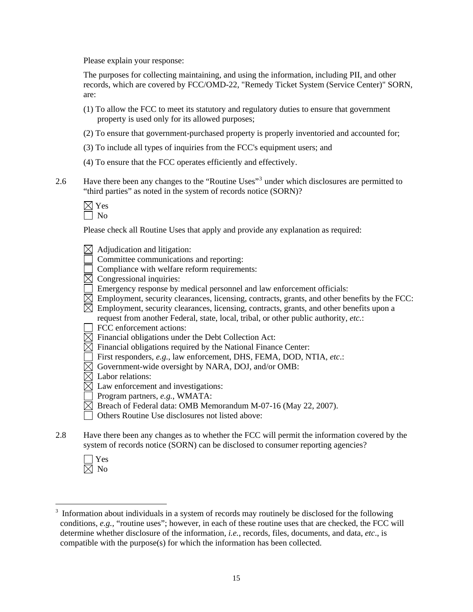The purposes for collecting maintaining, and using the information, including PII, and other records, which are covered by FCC/OMD-22, "Remedy Ticket System (Service Center)" SORN, are:

- (1) To allow the FCC to meet its statutory and regulatory duties to ensure that government property is used only for its allowed purposes;
- (2) To ensure that government-purchased property is properly inventoried and accounted for;
- (3) To include all types of inquiries from the FCC's equipment users; and
- (4) To ensure that the FCC operates efficiently and effectively.
- 2.6 Have there been any changes to the "Routine Uses"<sup>[3](#page-14-0)</sup> under which disclosures are permitted to "third parties" as noted in the system of records notice (SORN)?

Please check all Routine Uses that apply and provide any explanation as required:

- $\boxtimes$  Adjudication and litigation:
- Committee communications and reporting:
- $\Box$  Compliance with welfare reform requirements:
- $\boxtimes$  Congressional inquiries:
- Emergency response by medical personnel and law enforcement officials:
- $\boxtimes$  Employment, security clearances, licensing, contracts, grants, and other benefits by the FCC:
- $\boxtimes$  Employment, security clearances, licensing, contracts, grants, and other benefits upon a request from another Federal, state, local, tribal, or other public authority, *etc.*:
- FCC enforcement actions:
- $\boxtimes$  Financial obligations under the Debt Collection Act:
- $\boxtimes$  Financial obligations required by the National Finance Center:
- First responders, *e.g.*, law enforcement, DHS, FEMA, DOD, NTIA, *etc*.:
- $\boxtimes$  Government-wide oversight by NARA, DOJ, and/or OMB:
- $\boxtimes$  Labor relations:
- $\boxtimes$  Law enforcement and investigations:
- Program partners, *e.g.*, WMATA:
- $\boxtimes$  Breach of Federal data: OMB Memorandum M-07-16 (May 22, 2007).
- Others Routine Use disclosures not listed above:
- 2.8 Have there been any changes as to whether the FCC will permit the information covered by the system of records notice (SORN) can be disclosed to consumer reporting agencies?
	- Yes  $\overline{\boxtimes}$  No

 $\overline{a}$ 

<span id="page-14-0"></span><sup>3</sup> Information about individuals in a system of records may routinely be disclosed for the following conditions, *e.g.,* "routine uses"; however, in each of these routine uses that are checked, the FCC will determine whether disclosure of the information, *i.e.*, records, files, documents, and data, *etc*., is compatible with the purpose(s) for which the information has been collected.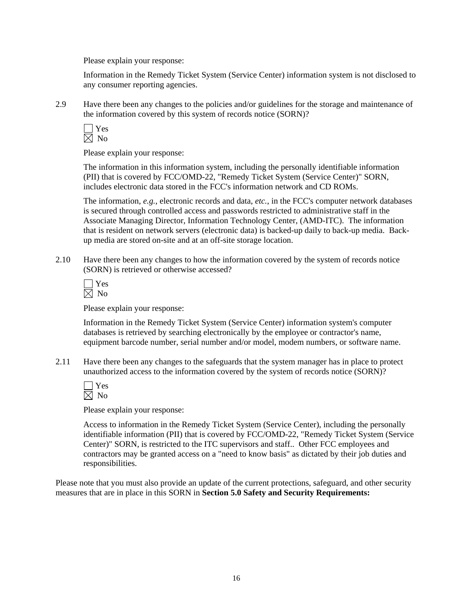Information in the Remedy Ticket System (Service Center) information system is not disclosed to any consumer reporting agencies.

2.9 Have there been any changes to the policies and/or guidelines for the storage and maintenance of the information covered by this system of records notice (SORN)?

Please explain your response:

 The information in this information system, including the personally identifiable information (PII) that is covered by FCC/OMD-22, "Remedy Ticket System (Service Center)" SORN, includes electronic data stored in the FCC's information network and CD ROMs.

The information, *e.g.*, electronic records and data, *etc.*, in the FCC's computer network databases is secured through controlled access and passwords restricted to administrative staff in the Associate Managing Director, Information Technology Center, (AMD-ITC). The information that is resident on network servers (electronic data) is backed-up daily to back-up media. Backup media are stored on-site and at an off-site storage location.

2.10 Have there been any changes to how the information covered by the system of records notice (SORN) is retrieved or otherwise accessed?

Please explain your response:

 Information in the Remedy Ticket System (Service Center) information system's computer databases is retrieved by searching electronically by the employee or contractor's name, equipment barcode number, serial number and/or model, modem numbers, or software name.

2.11 Have there been any changes to the safeguards that the system manager has in place to protect unauthorized access to the information covered by the system of records notice (SORN)?

Please explain your response:

Access to information in the Remedy Ticket System (Service Center), including the personally identifiable information (PII) that is covered by FCC/OMD-22, "Remedy Ticket System (Service Center)" SORN, is restricted to the ITC supervisors and staff.. Other FCC employees and contractors may be granted access on a "need to know basis" as dictated by their job duties and responsibilities.

Please note that you must also provide an update of the current protections, safeguard, and other security measures that are in place in this SORN in **Section 5.0 Safety and Security Requirements:**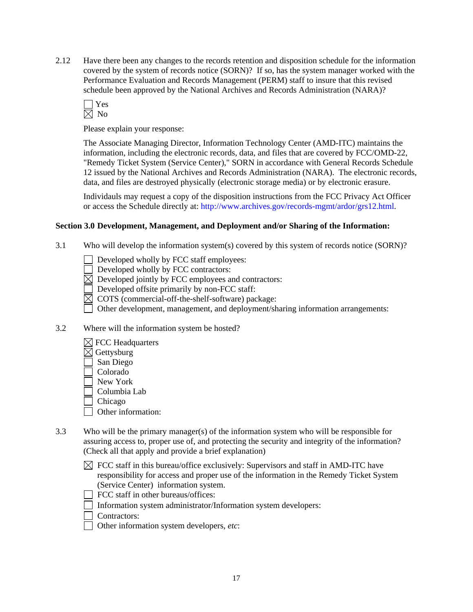2.12 Have there been any changes to the records retention and disposition schedule for the information covered by the system of records notice (SORN)? If so, has the system manager worked with the Performance Evaluation and Records Management (PERM) staff to insure that this revised schedule been approved by the National Archives and Records Administration (NARA)?



Please explain your response:

 The Associate Managing Director, Information Technology Center (AMD-ITC) maintains the information, including the electronic records, data, and files that are covered by FCC/OMD-22, "Remedy Ticket System (Service Center)," SORN in accordance with General Records Schedule 12 issued by the National Archives and Records Administration (NARA). The electronic records, data, and files are destroyed physically (electronic storage media) or by electronic erasure.

Individauls may request a copy of the disposition instructions from the FCC Privacy Act Officer or access the Schedule directly at: http://www.archives.gov/records-mgmt/ardor/grs12.html.

## **Section 3.0 Development, Management, and Deployment and/or Sharing of the Information:**

3.1 Who will develop the information system(s) covered by this system of records notice (SORN)?

Developed wholly by FCC staff employees:

Developed wholly by FCC contractors:

 $\overline{\boxtimes}$  Developed jointly by FCC employees and contractors:

Developed offsite primarily by non-FCC staff:

 $\boxtimes$  COTS (commercial-off-the-shelf-software) package:

Other development, management, and deployment/sharing information arrangements:

- 3.2 Where will the information system be hosted?
	- $\boxtimes$  FCC Headquarters
	- $\boxtimes$  Gettysburg
	- San Diego
	- Colorado
	- New York
	- Columbia Lab

Chicago

- Other information:
- 3.3 Who will be the primary manager(s) of the information system who will be responsible for assuring access to, proper use of, and protecting the security and integrity of the information? (Check all that apply and provide a brief explanation)
	- $\boxtimes$  FCC staff in this bureau/office exclusively: Supervisors and staff in AMD-ITC have responsibility for access and proper use of the information in the Remedy Ticket System (Service Center) information system.
	- FCC staff in other bureaus/offices:
	- Information system administrator/Information system developers:
	- □ Contractors:
	- Other information system developers, *etc*: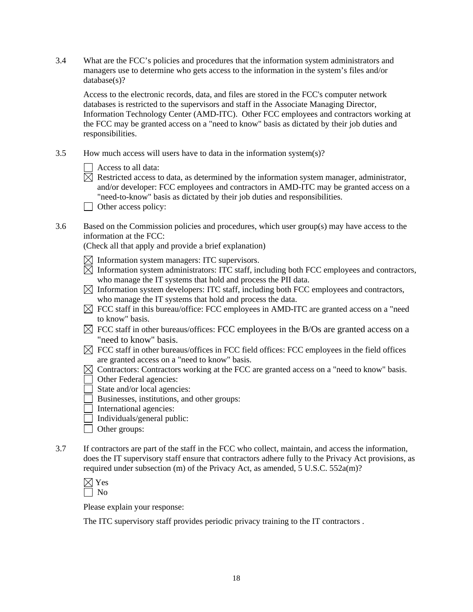3.4 What are the FCC's policies and procedures that the information system administrators and managers use to determine who gets access to the information in the system's files and/or database(s)?

Access to the electronic records, data, and files are stored in the FCC's computer network databases is restricted to the supervisors and staff in the Associate Managing Director, Information Technology Center (AMD-ITC). Other FCC employees and contractors working at the FCC may be granted access on a "need to know" basis as dictated by their job duties and responsibilities.

3.5 How much access will users have to data in the information system(s)?

| Access to all data: |
|---------------------|
|---------------------|

- $\overline{\boxtimes}$  Restricted access to data, as determined by the information system manager, administrator, and/or developer: FCC employees and contractors in AMD-ITC may be granted access on a "need-to-know" basis as dictated by their job duties and responsibilities.
- Other access policy:
- 3.6 Based on the Commission policies and procedures, which user group(s) may have access to the information at the FCC:

(Check all that apply and provide a brief explanation)

 $\boxtimes$  Information system managers: ITC supervisors.

- $\boxtimes$  Information system administrators: ITC staff, including both FCC employees and contractors, who manage the IT systems that hold and process the PII data.
- $\boxtimes$  Information system developers: ITC staff, including both FCC employees and contractors, who manage the IT systems that hold and process the data.
- $\boxtimes$  FCC staff in this bureau/office: FCC employees in AMD-ITC are granted access on a "need to know" basis.
- $\boxtimes$  FCC staff in other bureaus/offices: FCC employees in the B/Os are granted access on a "need to know" basis.
- $\boxtimes$  FCC staff in other bureaus/offices in FCC field offices: FCC employees in the field offices are granted access on a "need to know" basis.
- $\boxtimes$  Contractors: Contractors working at the FCC are granted access on a "need to know" basis.
- Other Federal agencies:
- State and/or local agencies:
- Businesses, institutions, and other groups:
- $\Box$  International agencies:
- $\Box$  Individuals/general public:
- □ Other groups:
- 3.7 If contractors are part of the staff in the FCC who collect, maintain, and access the information, does the IT supervisory staff ensure that contractors adhere fully to the Privacy Act provisions, as required under subsection (m) of the Privacy Act, as amended, 5 U.S.C. 552a(m)?

Please explain your response:

The ITC supervisory staff provides periodic privacy training to the IT contractors .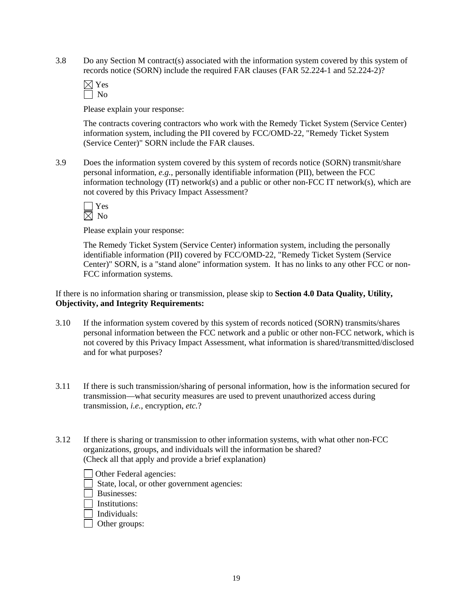3.8 Do any Section M contract(s) associated with the information system covered by this system of records notice (SORN) include the required FAR clauses (FAR 52.224-1 and 52.224-2)?

Please explain your response:

The contracts covering contractors who work with the Remedy Ticket System (Service Center) information system, including the PII covered by FCC/OMD-22, "Remedy Ticket System (Service Center)" SORN include the FAR clauses.

3.9 Does the information system covered by this system of records notice (SORN) transmit/share personal information, *e.g.*, personally identifiable information (PII), between the FCC information technology (IT) network(s) and a public or other non-FCC IT network(s), which are not covered by this Privacy Impact Assessment?

Please explain your response:

The Remedy Ticket System (Service Center) information system, including the personally identifiable information (PII) covered by FCC/OMD-22, "Remedy Ticket System (Service Center)" SORN, is a "stand alone" information system. It has no links to any other FCC or non-FCC information systems.

If there is no information sharing or transmission, please skip to **Section 4.0 Data Quality, Utility, Objectivity, and Integrity Requirements:**

- 3.10 If the information system covered by this system of records noticed (SORN) transmits/shares personal information between the FCC network and a public or other non-FCC network, which is not covered by this Privacy Impact Assessment, what information is shared/transmitted/disclosed and for what purposes?
- 3.11 If there is such transmission/sharing of personal information, how is the information secured for transmission—what security measures are used to prevent unauthorized access during transmission, *i.e.*, encryption, *etc.*?
- 3.12 If there is sharing or transmission to other information systems, with what other non-FCC organizations, groups, and individuals will the information be shared? (Check all that apply and provide a brief explanation)
	- Other Federal agencies:

State, local, or other government agencies:

Businesses:

- $\Box$  Institutions:
- Individuals:
- Other groups: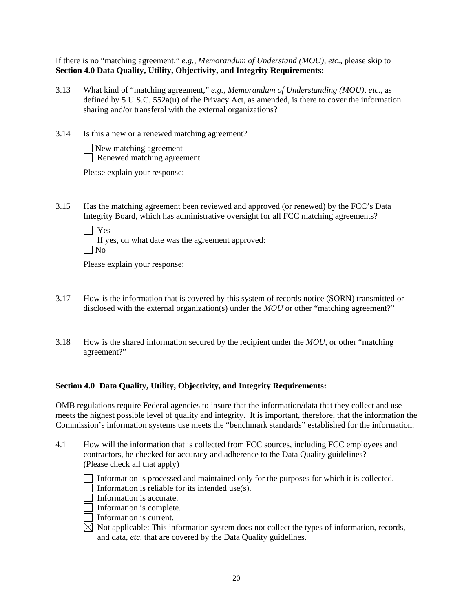If there is no "matching agreement," *e.g., Memorandum of Understand (MOU), etc*., please skip to **Section 4.0 Data Quality, Utility, Objectivity, and Integrity Requirements:** 

- 3.13 What kind of "matching agreement," *e.g.*, *Memorandum of Understanding (MOU)*, *etc.*, as defined by 5 U.S.C. 552a(u) of the Privacy Act, as amended, is there to cover the information sharing and/or transferal with the external organizations?
- 3.14 Is this a new or a renewed matching agreement?

| $\Box$ New matching agreement     |
|-----------------------------------|
| $\Box$ Renewed matching agreement |

Please explain your response:

3.15 Has the matching agreement been reviewed and approved (or renewed) by the FCC's Data Integrity Board, which has administrative oversight for all FCC matching agreements?

Yes

 If yes, on what date was the agreement approved:  $\Box$  No

Please explain your response:

- 3.17 How is the information that is covered by this system of records notice (SORN) transmitted or disclosed with the external organization(s) under the *MOU* or other "matching agreement?"
- 3.18 How is the shared information secured by the recipient under the *MOU*, or other "matching agreement?"

## **Section 4.0 Data Quality, Utility, Objectivity, and Integrity Requirements:**

OMB regulations require Federal agencies to insure that the information/data that they collect and use meets the highest possible level of quality and integrity. It is important, therefore, that the information the Commission's information systems use meets the "benchmark standards" established for the information.

- 4.1 How will the information that is collected from FCC sources, including FCC employees and contractors, be checked for accuracy and adherence to the Data Quality guidelines? (Please check all that apply)
	- Information is processed and maintained only for the purposes for which it is collected.
	- Information is reliable for its intended use(s).
	- $\Box$  Information is accurate.
	- $\Box$  Information is complete.
	- Information is current.
	- $\boxtimes$  Not applicable: This information system does not collect the types of information, records, and data, *etc*. that are covered by the Data Quality guidelines.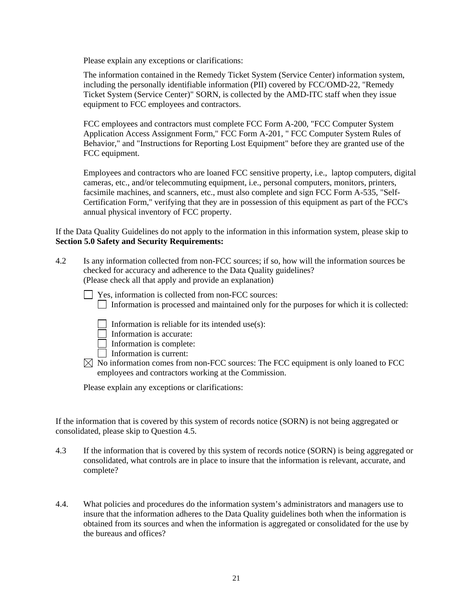Please explain any exceptions or clarifications:

The information contained in the Remedy Ticket System (Service Center) information system, including the personally identifiable information (PII) covered by FCC/OMD-22, "Remedy Ticket System (Service Center)" SORN, is collected by the AMD-ITC staff when they issue equipment to FCC employees and contractors.

FCC employees and contractors must complete FCC Form A-200, "FCC Computer System Application Access Assignment Form," FCC Form A-201, " FCC Computer System Rules of Behavior," and "Instructions for Reporting Lost Equipment" before they are granted use of the FCC equipment.

Employees and contractors who are loaned FCC sensitive property, i.e., laptop computers, digital cameras, etc., and/or telecommuting equipment, i.e., personal computers, monitors, printers, facsimile machines, and scanners, etc., must also complete and sign FCC Form A-535, "Self-Certification Form," verifying that they are in possession of this equipment as part of the FCC's annual physical inventory of FCC property.

If the Data Quality Guidelines do not apply to the information in this information system, please skip to **Section 5.0 Safety and Security Requirements:** 

- 4.2 Is any information collected from non-FCC sources; if so, how will the information sources be checked for accuracy and adherence to the Data Quality guidelines? (Please check all that apply and provide an explanation)
	- □ Yes, information is collected from non-FCC sources: Information is processed and maintained only for the purposes for which it is collected:
		- Information is reliable for its intended use(s):
		- $\Box$  Information is accurate:
		- $\Box$  Information is complete:
		- $\Box$  Information is current:
	- $\boxtimes$  No information comes from non-FCC sources: The FCC equipment is only loaned to FCC employees and contractors working at the Commission.

Please explain any exceptions or clarifications:

If the information that is covered by this system of records notice (SORN) is not being aggregated or consolidated, please skip to Question 4.5.

- 4.3 If the information that is covered by this system of records notice (SORN) is being aggregated or consolidated, what controls are in place to insure that the information is relevant, accurate, and complete?
- 4.4. What policies and procedures do the information system's administrators and managers use to insure that the information adheres to the Data Quality guidelines both when the information is obtained from its sources and when the information is aggregated or consolidated for the use by the bureaus and offices?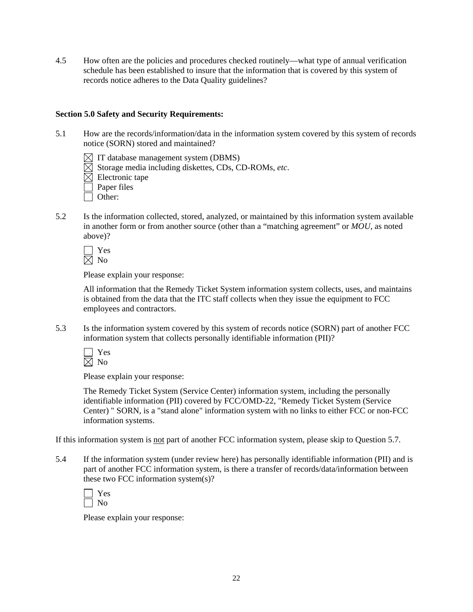4.5 How often are the policies and procedures checked routinely—what type of annual verification schedule has been established to insure that the information that is covered by this system of records notice adheres to the Data Quality guidelines?

#### **Section 5.0 Safety and Security Requirements:**

- 5.1 How are the records/information/data in the information system covered by this system of records notice (SORN) stored and maintained?
	- $\boxtimes$  IT database management system (DBMS)
	- $\overline{\boxtimes}$  Storage media including diskettes, CDs, CD-ROMs, *etc.*
	- $\overline{\boxtimes}$  Electronic tape
	- $\Box$  Paper files
	- Other:
- 5.2 Is the information collected, stored, analyzed, or maintained by this information system available in another form or from another source (other than a "matching agreement" or *MOU*, as noted above)?

 Yes  $\bar{\boxtimes}$  No

Please explain your response:

All information that the Remedy Ticket System information system collects, uses, and maintains is obtained from the data that the ITC staff collects when they issue the equipment to FCC employees and contractors.

5.3 Is the information system covered by this system of records notice (SORN) part of another FCC information system that collects personally identifiable information (PII)?

 Yes  $\boxtimes$  No

Please explain your response:

The Remedy Ticket System (Service Center) information system, including the personally identifiable information (PII) covered by FCC/OMD-22, "Remedy Ticket System (Service Center) " SORN, is a "stand alone" information system with no links to either FCC or non-FCC information systems.

If this information system is not part of another FCC information system, please skip to Question 5.7.

5.4 If the information system (under review here) has personally identifiable information (PII) and is part of another FCC information system, is there a transfer of records/data/information between these two FCC information system(s)?

Please explain your response: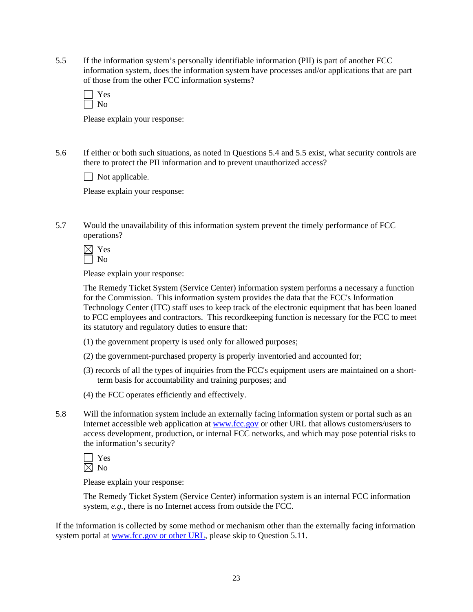5.5 If the information system's personally identifiable information (PII) is part of another FCC information system, does the information system have processes and/or applications that are part of those from the other FCC information systems?

Please explain your response:

5.6 If either or both such situations, as noted in Questions 5.4 and 5.5 exist, what security controls are there to protect the PII information and to prevent unauthorized access?

 $\Box$  Not applicable.

Please explain your response:

5.7 Would the unavailability of this information system prevent the timely performance of FCC operations?

 $\boxtimes$  Yes No

Please explain your response:

The Remedy Ticket System (Service Center) information system performs a necessary a function for the Commission. This information system provides the data that the FCC's Information Technology Center (ITC) staff uses to keep track of the electronic equipment that has been loaned to FCC employees and contractors. This recordkeeping function is necessary for the FCC to meet its statutory and regulatory duties to ensure that:

- (1) the government property is used only for allowed purposes;
- (2) the government-purchased property is properly inventoried and accounted for;
- (3) records of all the types of inquiries from the FCC's equipment users are maintained on a shortterm basis for accountability and training purposes; and
- (4) the FCC operates efficiently and effectively.
- 5.8 Will the information system include an externally facing information system or portal such as an Internet accessible web application at [www.fcc.gov](http://www.fcc.gov/) or other URL that allows customers/users to access development, production, or internal FCC networks, and which may pose potential risks to the information's security?

 Yes  $\boxtimes$  No

Please explain your response:

The Remedy Ticket System (Service Center) information system is an internal FCC information system, *e.g.*, there is no Internet access from outside the FCC.

If the information is collected by some method or mechanism other than the externally facing information system portal at [www.fcc.gov](http://www.fcc.gov/) or other URL, please skip to Question 5.11.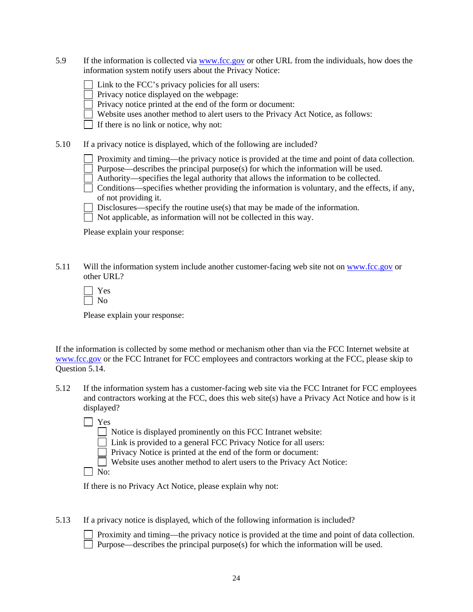5.9 If the information is collected via [www.fcc.gov](http://www.fcc.gov/) or other URL from the individuals, how does the information system notify users about the Privacy Notice:

| $\Box$ Link to the FCC's privacy policies for all users: |
|----------------------------------------------------------|
|----------------------------------------------------------|

Privacy notice displayed on the webpage:

Privacy notice printed at the end of the form or document:

 $\Box$  Website uses another method to alert users to the Privacy Act Notice, as follows:

 $\Box$  If there is no link or notice, why not:

5.10 If a privacy notice is displayed, which of the following are included?

Proximity and timing—the privacy notice is provided at the time and point of data collection.

Purpose—describes the principal purpose(s) for which the information will be used.

Authority—specifies the legal authority that allows the information to be collected.

 $\Box$  Conditions—specifies whether providing the information is voluntary, and the effects, if any, of not providing it.

Disclosures—specify the routine use(s) that may be made of the information.

 $\Box$  Not applicable, as information will not be collected in this way.

Please explain your response:

5.11 Will the information system include another customer-facing web site not on [www.fcc.gov](http://www.fcc.gov/) or other URL?

Please explain your response:

If the information is collected by some method or mechanism other than via the FCC Internet website at [www.fcc.gov](http://www.fcc.gov/) or the FCC Intranet for FCC employees and contractors working at the FCC, please skip to Question 5.14.

5.12 If the information system has a customer-facing web site via the FCC Intranet for FCC employees and contractors working at the FCC, does this web site(s) have a Privacy Act Notice and how is it displayed?

Yes

 $\Box$  Notice is displayed prominently on this FCC Intranet website:

Link is provided to a general FCC Privacy Notice for all users:

 $\Box$  Privacy Notice is printed at the end of the form or document:

Website uses another method to alert users to the Privacy Act Notice:

 $\Box$  No:

If there is no Privacy Act Notice, please explain why not:

5.13 If a privacy notice is displayed, which of the following information is included?

 Proximity and timing—the privacy notice is provided at the time and point of data collection.  $\Box$  Purpose—describes the principal purpose(s) for which the information will be used.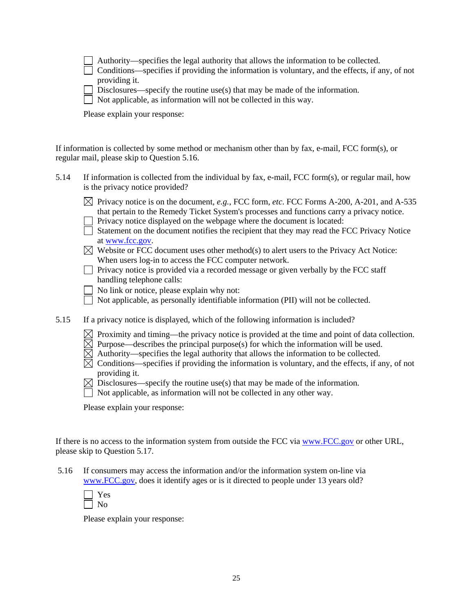|  | $\Box$ Authority—specifies the legal authority that allows the information to be collected. |  |  |  |  |
|--|---------------------------------------------------------------------------------------------|--|--|--|--|
|--|---------------------------------------------------------------------------------------------|--|--|--|--|

| Conditions—specifies if providing the information is voluntary, and the effects, if any, of not |  |  |  |  |
|-------------------------------------------------------------------------------------------------|--|--|--|--|
| providing it.                                                                                   |  |  |  |  |

 $\Box$  Disclosures—specify the routine use(s) that may be made of the information.

 $\Box$  Not applicable, as information will not be collected in this way.

Please explain your response:

If information is collected by some method or mechanism other than by fax, e-mail, FCC form(s), or regular mail, please skip to Question 5.16.

| 5.14 | If information is collected from the individual by fax, e-mail, FCC form(s), or regular mail, how |
|------|---------------------------------------------------------------------------------------------------|
|      | is the privacy notice provided?                                                                   |

| $\boxtimes$ Privacy notice is on the document, e.g., FCC form, etc. FCC Forms A-200, A-201, and A-535 |
|-------------------------------------------------------------------------------------------------------|
| that pertain to the Remedy Ticket System's processes and functions carry a privacy notice.            |
| Privacy notice displayed on the webpage where the document is located:                                |

| $\rightarrow$ 2.11, we get the company of the model where the coordinate is resolved.      |
|--------------------------------------------------------------------------------------------|
| Statement on the document notifies the recipient that they may read the FCC Privacy Notice |
| at www.fcc.gov.                                                                            |

| $\boxtimes$ Website or FCC document uses other method(s) to alert users to the Privacy Act Notice: |
|----------------------------------------------------------------------------------------------------|
| When users log-in to access the FCC computer network.                                              |

 $\Box$  Privacy notice is provided via a recorded message or given verbally by the FCC staff handling telephone calls:

No link or notice, please explain why not:

Not applicable, as personally identifiable information (PII) will not be collected.

5.15 If a privacy notice is displayed, which of the following information is included?

 $\boxtimes$  Proximity and timing—the privacy notice is provided at the time and point of data collection.

 $\boxtimes$  Purpose—describes the principal purpose(s) for which the information will be used.

- $\overline{\boxtimes}$  Authority—specifies the legal authority that allows the information to be collected.
- $\overline{\boxtimes}$  Conditions—specifies if providing the information is voluntary, and the effects, if any, of not providing it.
- $\boxtimes$  Disclosures—specify the routine use(s) that may be made of the information.
- $\Box$  Not applicable, as information will not be collected in any other way.

Please explain your response:

If there is no access to the information system from outside the FCC via [www.FCC.gov](http://www.fcc.gov/) or other URL, please skip to Question 5.17.

 5.16 If consumers may access the information and/or the information system on-line via www.FCC.gov, does it identify ages or is it directed to people under 13 years old?

Please explain your response: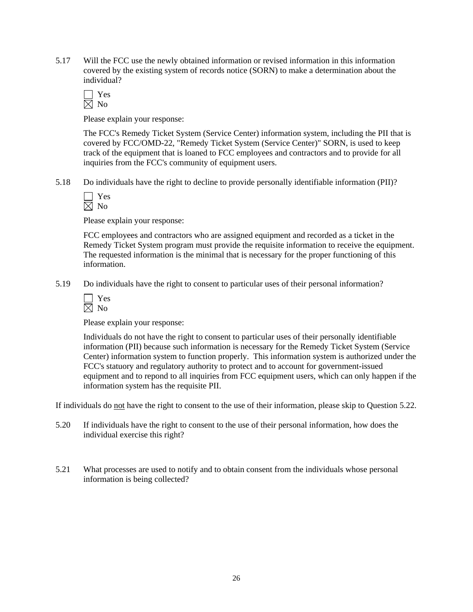5.17 Will the FCC use the newly obtained information or revised information in this information covered by the existing system of records notice (SORN) to make a determination about the individual?

Please explain your response:

The FCC's Remedy Ticket System (Service Center) information system, including the PII that is covered by FCC/OMD-22, "Remedy Ticket System (Service Center)" SORN, is used to keep track of the equipment that is loaned to FCC employees and contractors and to provide for all inquiries from the FCC's community of equipment users.

5.18 Do individuals have the right to decline to provide personally identifiable information (PII)?

Please explain your response:

FCC employees and contractors who are assigned equipment and recorded as a ticket in the Remedy Ticket System program must provide the requisite information to receive the equipment. The requested information is the minimal that is necessary for the proper functioning of this information.

5.19 Do individuals have the right to consent to particular uses of their personal information?

| ۰ |
|---|
|   |

Please explain your response:

Individuals do not have the right to consent to particular uses of their personally identifiable information (PII) because such information is necessary for the Remedy Ticket System (Service Center) information system to function properly. This information system is authorized under the FCC's statuory and regulatory authority to protect and to account for government-issued equipment and to repond to all inquiries from FCC equipment users, which can only happen if the information system has the requisite PII.

If individuals do not have the right to consent to the use of their information, please skip to Question 5.22.

- 5.20 If individuals have the right to consent to the use of their personal information, how does the individual exercise this right?
- 5.21 What processes are used to notify and to obtain consent from the individuals whose personal information is being collected?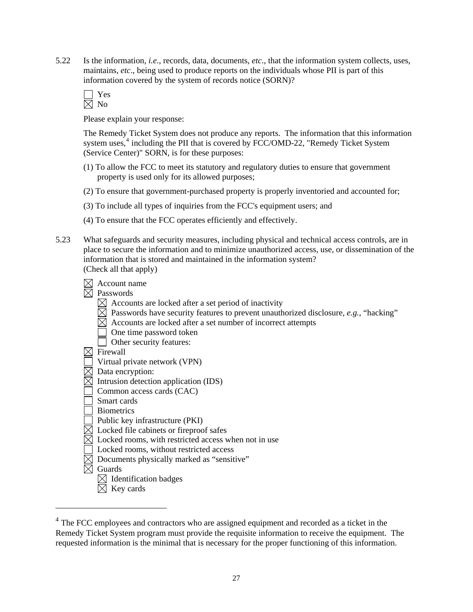5.22 Is the information, *i.e*., records, data, documents, *etc*., that the information system collects, uses, maintains, *etc*., being used to produce reports on the individuals whose PII is part of this information covered by the system of records notice (SORN)?

Please explain your response:

The Remedy Ticket System does not produce any reports. The information that this information system uses, $4$  including the PII that is covered by FCC/OMD-22, "Remedy Ticket System (Service Center)" SORN, is for these purposes:

- (1) To allow the FCC to meet its statutory and regulatory duties to ensure that government property is used only for its allowed purposes;
- (2) To ensure that government-purchased property is properly inventoried and accounted for;
- (3) To include all types of inquiries from the FCC's equipment users; and
- (4) To ensure that the FCC operates efficiently and effectively.
- 5.23 What safeguards and security measures, including physical and technical access controls, are in place to secure the information and to minimize unauthorized access, use, or dissemination of the information that is stored and maintained in the information system? (Check all that apply)

 $\boxtimes$  Account name

 $\overline{\boxtimes}$  Passwords

- $\boxtimes$  Accounts are locked after a set period of inactivity
- $\boxtimes$  Passwords have security features to prevent unauthorized disclosure, *e.g.*, "hacking"
- $\boxtimes$  Accounts are locked after a set number of incorrect attempts
	- One time password token
- Other security features:
- $\boxtimes$  Firewall
- Virtual private network (VPN)
- $\overline{\boxtimes}$  Data encryption:
- $\boxtimes$  Intrusion detection application (IDS)
- $\Box$  Common access cards (CAC)
- Smart cards
- **Biometrics**
- Public key infrastructure (PKI)
- $\boxtimes$  Locked file cabinets or fireproof safes
- $\boxtimes$  Locked rooms, with restricted access when not in use
- Locked rooms, without restricted access
- $\boxtimes$  Documents physically marked as "sensitive"
- $\overline{\boxtimes}$  Guards

 $\overline{a}$ 

- $\boxtimes$  Identification badges
- $\boxtimes$  Key cards

<span id="page-26-0"></span><sup>&</sup>lt;sup>4</sup> The FCC employees and contractors who are assigned equipment and recorded as a ticket in the Remedy Ticket System program must provide the requisite information to receive the equipment. The requested information is the minimal that is necessary for the proper functioning of this information.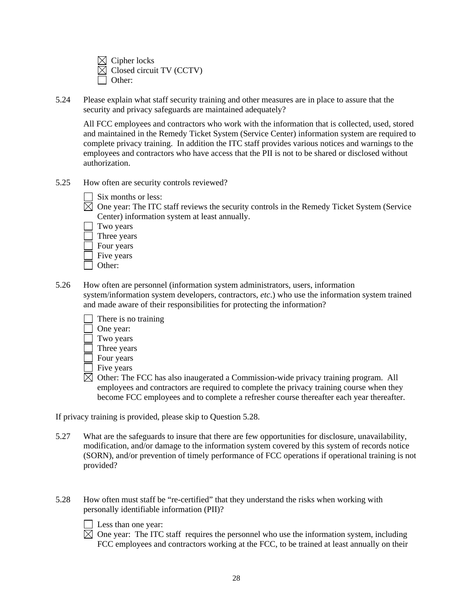$\boxtimes$  Cipher locks Closed circuit TV (CCTV) Other:

5.24 Please explain what staff security training and other measures are in place to assure that the security and privacy safeguards are maintained adequately?

 All FCC employees and contractors who work with the information that is collected, used, stored and maintained in the Remedy Ticket System (Service Center) information system are required to complete privacy training. In addition the ITC staff provides various notices and warnings to the employees and contractors who have access that the PII is not to be shared or disclosed without authorization.

- 5.25 How often are security controls reviewed?
	- Six months or less:
	- $\boxtimes$  One year: The ITC staff reviews the security controls in the Remedy Ticket System (Service Center) information system at least annually.
		- Two years
		- Three years
		- Four years
		- Five years
		- Other:
- 5.26 How often are personnel (information system administrators, users, information system/information system developers, contractors, *etc*.) who use the information system trained and made aware of their responsibilities for protecting the information?
	- There is no training One year: Two years Three years Four years Five years
	- $\boxtimes$  Other: The FCC has also inaugerated a Commission-wide privacy training program. All employees and contractors are required to complete the privacy training course when they become FCC employees and to complete a refresher course thereafter each year thereafter.

If privacy training is provided, please skip to Question 5.28.

- 5.27 What are the safeguards to insure that there are few opportunities for disclosure, unavailability, modification, and/or damage to the information system covered by this system of records notice (SORN), and/or prevention of timely performance of FCC operations if operational training is not provided?
- 5.28 How often must staff be "re-certified" that they understand the risks when working with personally identifiable information (PII)?
	- Less than one year:
	- $\overline{\boxtimes}$  One year: The ITC staff requires the personnel who use the information system, including FCC employees and contractors working at the FCC, to be trained at least annually on their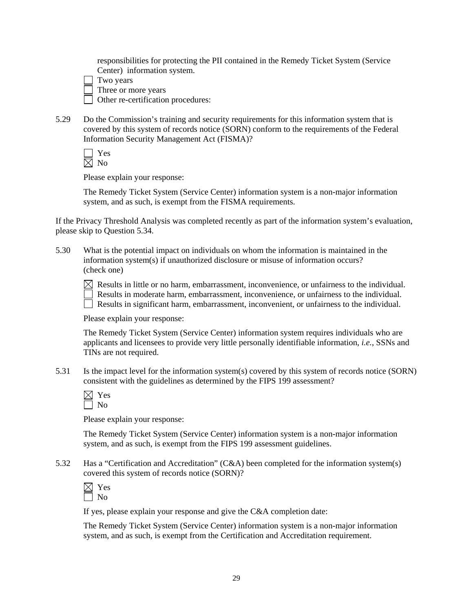responsibilities for protecting the PII contained in the Remedy Ticket System (Service Center) information system.

- Two years
- Three or more years

Other re-certification procedures:

5.29 Do the Commission's training and security requirements for this information system that is covered by this system of records notice (SORN) conform to the requirements of the Federal Information Security Management Act (FISMA)?

 Yes  $\overline{\boxtimes}$  No

Please explain your response:

The Remedy Ticket System (Service Center) information system is a non-major information system, and as such, is exempt from the FISMA requirements.

If the Privacy Threshold Analysis was completed recently as part of the information system's evaluation, please skip to Question 5.34.

5.30 What is the potential impact on individuals on whom the information is maintained in the information system(s) if unauthorized disclosure or misuse of information occurs? (check one)

 $\boxtimes$  Results in little or no harm, embarrassment, inconvenience, or unfairness to the individual.  $\Box$  Results in moderate harm, embarrassment, inconvenience, or unfairness to the individual.  $\Box$  Results in significant harm, embarrassment, inconvenient, or unfairness to the individual.

Please explain your response:

The Remedy Ticket System (Service Center) information system requires individuals who are applicants and licensees to provide very little personally identifiable information, *i.e.*, SSNs and TINs are not required.

5.31 Is the impact level for the information system(s) covered by this system of records notice (SORN) consistent with the guidelines as determined by the FIPS 199 assessment?

Please explain your response:

The Remedy Ticket System (Service Center) information system is a non-major information system, and as such, is exempt from the FIPS 199 assessment guidelines.

5.32 Has a "Certification and Accreditation" (C&A) been completed for the information system(s) covered this system of records notice (SORN)?

| ÷<br>− |
|--------|
|        |

If yes, please explain your response and give the C&A completion date:

The Remedy Ticket System (Service Center) information system is a non-major information system, and as such, is exempt from the Certification and Accreditation requirement.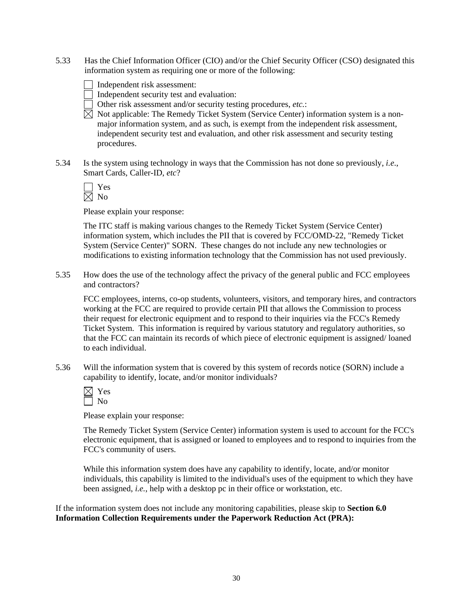- 5.33 Has the Chief Information Officer (CIO) and/or the Chief Security Officer (CSO) designated this information system as requiring one or more of the following:
	- Independent risk assessment:
	- Independent security test and evaluation:
	- Other risk assessment and/or security testing procedures, *etc.*:
	- $\boxtimes$  Not applicable: The Remedy Ticket System (Service Center) information system is a nonmajor information system, and as such, is exempt from the independent risk assessment, independent security test and evaluation, and other risk assessment and security testing procedures.
- 5.34 Is the system using technology in ways that the Commission has not done so previously, *i.e*., Smart Cards, Caller-ID, *etc*?

The ITC staff is making various changes to the Remedy Ticket System (Service Center) information system, which includes the PII that is covered by FCC/OMD-22, "Remedy Ticket System (Service Center)" SORN. These changes do not include any new technologies or modifications to existing information technology that the Commission has not used previously.

5.35 How does the use of the technology affect the privacy of the general public and FCC employees and contractors?

FCC employees, interns, co-op students, volunteers, visitors, and temporary hires, and contractors working at the FCC are required to provide certain PII that allows the Commission to process their request for electronic equipment and to respond to their inquiries via the FCC's Remedy Ticket System. This information is required by various statutory and regulatory authorities, so that the FCC can maintain its records of which piece of electronic equipment is assigned/ loaned to each individual.

5.36 Will the information system that is covered by this system of records notice (SORN) include a capability to identify, locate, and/or monitor individuals?

Please explain your response:

 The Remedy Ticket System (Service Center) information system is used to account for the FCC's electronic equipment, that is assigned or loaned to employees and to respond to inquiries from the FCC's community of users.

While this information system does have any capability to identify, locate, and/or monitor individuals, this capability is limited to the individual's uses of the equipment to which they have been assigned, *i.e.*, help with a desktop pc in their office or workstation, etc.

If the information system does not include any monitoring capabilities, please skip to **Section 6.0 Information Collection Requirements under the Paperwork Reduction Act (PRA):**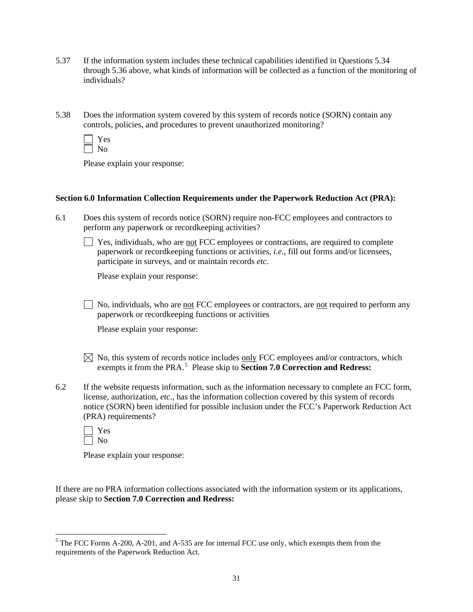- 5.37 If the information system includes these technical capabilities identified in Questions 5.34 through 5.36 above, what kinds of information will be collected as a function of the monitoring of individuals?
- 5.38 Does the information system covered by this system of records notice (SORN) contain any controls, policies, and procedures to prevent unauthorized monitoring?
	- Yes  $\Box$  No

#### **Section 6.0 Information Collection Requirements under the Paperwork Reduction Act (PRA):**

6.1 Does this system of records notice (SORN) require non-FCC employees and contractors to perform any paperwork or recordkeeping activities?

 $\Box$  Yes, individuals, who are not FCC employees or contractions, are required to complete paperwork or recordkeeping functions or activities, *i.e.*, fill out forms and/or licensees, participate in surveys, and or maintain records *etc*.

Please explain your response:

 $\Box$  No, individuals, who are <u>not</u> FCC employees or contractors, are not required to perform any paperwork or recordkeeping functions or activities

Please explain your response:

- $\boxtimes$  No, this system of records notice includes only FCC employees and/or contractors, which exempts it from the PRA.<sup>[5](#page-30-0)</sup> Please skip to **Section 7.0 Correction and Redress:**
- 6.2 If the website requests information, such as the information necessary to complete an FCC form, license, authorization, *etc*., has the information collection covered by this system of records notice (SORN) been identified for possible inclusion under the FCC's Paperwork Reduction Act (PRA) requirements?
	- Yes  $\Box$  No

Please explain your response:

If there are no PRA information collections associated with the information system or its applications, please skip to **Section 7.0 Correction and Redress:**

<span id="page-30-0"></span><sup>&</sup>lt;sup>5</sup> The FCC Forms A-200, A-201, and A-535 are for internal FCC use only, which exempts them from the requirements of the Paperwork Reduction Act.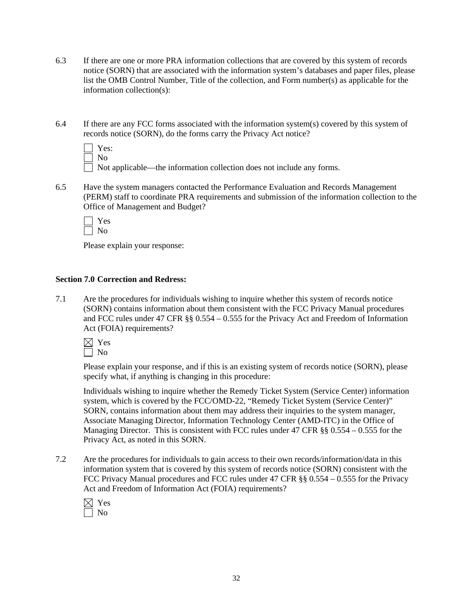- 6.3 If there are one or more PRA information collections that are covered by this system of records notice (SORN) that are associated with the information system's databases and paper files, please list the OMB Control Number, Title of the collection, and Form number(s) as applicable for the information collection(s):
- 6.4 If there are any FCC forms associated with the information system(s) covered by this system of records notice (SORN), do the forms carry the Privacy Act notice?

| Yes: |  |
|------|--|
| Nο   |  |

6.5 Have the system managers contacted the Performance Evaluation and Records Management (PERM) staff to coordinate PRA requirements and submission of the information collection to the Office of Management and Budget?

 Yes No

Please explain your response:

## **Section 7.0 Correction and Redress:**

7.1 Are the procedures for individuals wishing to inquire whether this system of records notice (SORN) contains information about them consistent with the FCC Privacy Manual procedures and FCC rules under 47 CFR §§ 0.554 – 0.555 for the Privacy Act and Freedom of Information Act (FOIA) requirements?



Please explain your response, and if this is an existing system of records notice (SORN), please specify what, if anything is changing in this procedure:

Individuals wishing to inquire whether the Remedy Ticket System (Service Center) information system, which is covered by the FCC/OMD-22, "Remedy Ticket System (Service Center)" SORN, contains information about them may address their inquiries to the system manager, Associate Managing Director, Information Technology Center (AMD-ITC) in the Office of Managing Director. This is consistent with FCC rules under 47 CFR §§ 0.554 – 0.555 for the Privacy Act, as noted in this SORN.

7.2 Are the procedures for individuals to gain access to their own records/information/data in this information system that is covered by this system of records notice (SORN) consistent with the FCC Privacy Manual procedures and FCC rules under 47 CFR §§ 0.554 – 0.555 for the Privacy Act and Freedom of Information Act (FOIA) requirements?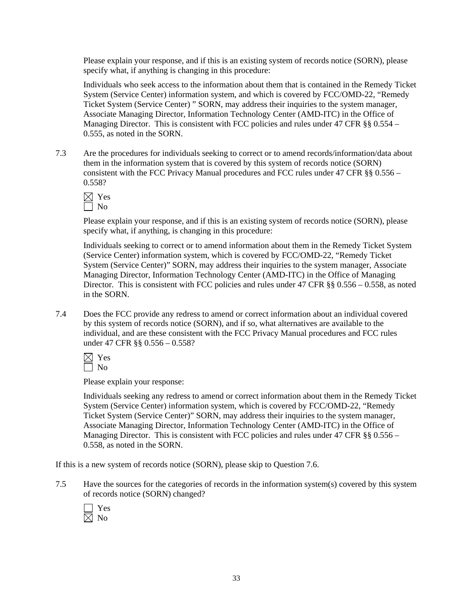Please explain your response, and if this is an existing system of records notice (SORN), please specify what, if anything is changing in this procedure:

Individuals who seek access to the information about them that is contained in the Remedy Ticket System (Service Center) information system, and which is covered by FCC/OMD-22, "Remedy Ticket System (Service Center) " SORN, may address their inquiries to the system manager, Associate Managing Director, Information Technology Center (AMD-ITC) in the Office of Managing Director. This is consistent with FCC policies and rules under 47 CFR §§ 0.554 – 0.555, as noted in the SORN.

7.3 Are the procedures for individuals seeking to correct or to amend records/information/data about them in the information system that is covered by this system of records notice (SORN) consistent with the FCC Privacy Manual procedures and FCC rules under 47 CFR §§ 0.556 – 0.558?



Please explain your response, and if this is an existing system of records notice (SORN), please specify what, if anything, is changing in this procedure:

Individuals seeking to correct or to amend information about them in the Remedy Ticket System (Service Center) information system, which is covered by FCC/OMD-22, "Remedy Ticket System (Service Center)" SORN, may address their inquiries to the system manager, Associate Managing Director, Information Technology Center (AMD-ITC) in the Office of Managing Director. This is consistent with FCC policies and rules under 47 CFR §§ 0.556 – 0.558, as noted in the SORN.

7.4 Does the FCC provide any redress to amend or correct information about an individual covered by this system of records notice (SORN), and if so, what alternatives are available to the individual, and are these consistent with the FCC Privacy Manual procedures and FCC rules under 47 CFR §§ 0.556 – 0.558?



Please explain your response:

Individuals seeking any redress to amend or correct information about them in the Remedy Ticket System (Service Center) information system, which is covered by FCC/OMD-22, "Remedy Ticket System (Service Center)" SORN, may address their inquiries to the system manager, Associate Managing Director, Information Technology Center (AMD-ITC) in the Office of Managing Director. This is consistent with FCC policies and rules under 47 CFR  $\S$ § 0.556 – 0.558, as noted in the SORN.

If this is a new system of records notice (SORN), please skip to Question 7.6.

7.5 Have the sources for the categories of records in the information system(s) covered by this system of records notice (SORN) changed?

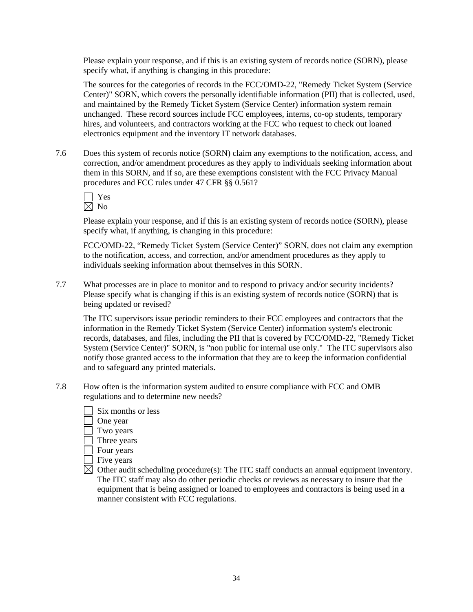Please explain your response, and if this is an existing system of records notice (SORN), please specify what, if anything is changing in this procedure:

 The sources for the categories of records in the FCC/OMD-22, "Remedy Ticket System (Service Center)" SORN, which covers the personally identifiable information (PII) that is collected, used, and maintained by the Remedy Ticket System (Service Center) information system remain unchanged. These record sources include FCC employees, interns, co-op students, temporary hires, and volunteers, and contractors working at the FCC who request to check out loaned electronics equipment and the inventory IT network databases.

7.6 Does this system of records notice (SORN) claim any exemptions to the notification, access, and correction, and/or amendment procedures as they apply to individuals seeking information about them in this SORN, and if so, are these exemptions consistent with the FCC Privacy Manual procedures and FCC rules under 47 CFR §§ 0.561?

Please explain your response, and if this is an existing system of records notice (SORN), please specify what, if anything, is changing in this procedure:

FCC/OMD-22, "Remedy Ticket System (Service Center)" SORN, does not claim any exemption to the notification, access, and correction, and/or amendment procedures as they apply to individuals seeking information about themselves in this SORN.

7.7 What processes are in place to monitor and to respond to privacy and/or security incidents? Please specify what is changing if this is an existing system of records notice (SORN) that is being updated or revised?

 The ITC supervisors issue periodic reminders to their FCC employees and contractors that the information in the Remedy Ticket System (Service Center) information system's electronic records, databases, and files, including the PII that is covered by FCC/OMD-22, "Remedy Ticket System (Service Center)" SORN, is "non public for internal use only." The ITC supervisors also notify those granted access to the information that they are to keep the information confidential and to safeguard any printed materials.

- 7.8 How often is the information system audited to ensure compliance with FCC and OMB regulations and to determine new needs?
	- Six months or less
	- One year
	- Two years
	- Three years
	- $\Box$  Four years
	- Five years

 $\boxtimes$  Other audit scheduling procedure(s): The ITC staff conducts an annual equipment inventory. The ITC staff may also do other periodic checks or reviews as necessary to insure that the equipment that is being assigned or loaned to employees and contractors is being used in a manner consistent with FCC regulations.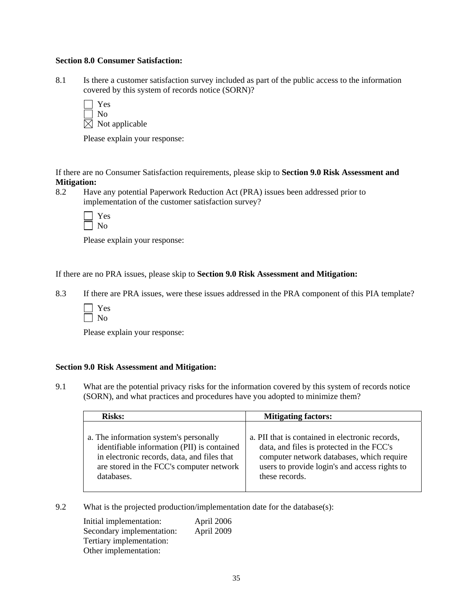#### **Section 8.0 Consumer Satisfaction:**

8.1 Is there a customer satisfaction survey included as part of the public access to the information covered by this system of records notice (SORN)?

| l   Yes                    |
|----------------------------|
| $\vert$   No               |
| $\boxtimes$ Not applicable |

Please explain your response:

If there are no Consumer Satisfaction requirements, please skip to **Section 9.0 Risk Assessment and Mitigation:** 

8.2 Have any potential Paperwork Reduction Act (PRA) issues been addressed prior to implementation of the customer satisfaction survey?

Please explain your response:

If there are no PRA issues, please skip to **Section 9.0 Risk Assessment and Mitigation:** 

- 8.3 If there are PRA issues, were these issues addressed in the PRA component of this PIA template?
	- Yes  $\Box$  No

Please explain your response:

#### **Section 9.0 Risk Assessment and Mitigation:**

9.1 What are the potential privacy risks for the information covered by this system of records notice (SORN), and what practices and procedures have you adopted to minimize them?

| <b>Risks:</b>                               | <b>Mitigating factors:</b>                      |
|---------------------------------------------|-------------------------------------------------|
| a. The information system's personally      | a. PII that is contained in electronic records, |
| identifiable information (PII) is contained | data, and files is protected in the FCC's       |
| in electronic records, data, and files that | computer network databases, which require       |
| are stored in the FCC's computer network    | users to provide login's and access rights to   |
| databases.                                  | these records.                                  |

9.2 What is the projected production/implementation date for the database(s):

 Initial implementation: April 2006 Secondary implementation: April 2009 Tertiary implementation: Other implementation: